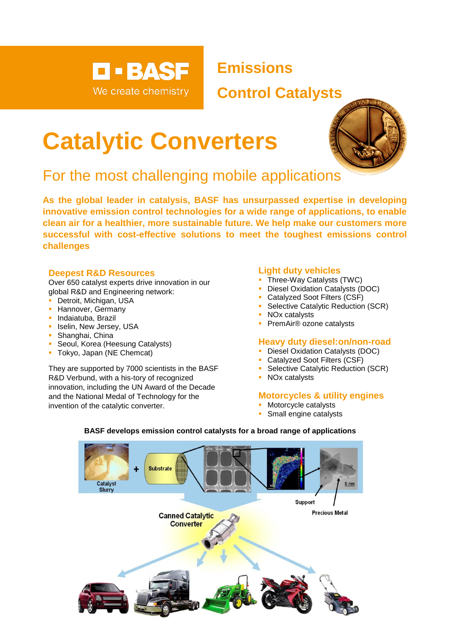

**Emissions**

# **Control Catalysts**

# **Catalytic Converters**



# For the most challenging mobile applications

**As the global leader in catalysis, BASF has unsurpassed expertise in developing innovative emission control technologies for a wide range of applications, to enable clean air for a healthier, more sustainable future. We help make our customers more successful with cost-effective solutions to meet the toughest emissions control challenges**

## **Deepest R&D Resources**

Over 650 catalyst experts drive innovation in our global R&D and Engineering network:

- **Detroit, Michigan, USA**
- **E** Hannover, Germany
- **·** Indaiatuba, Brazil
- **·** Iselin, New Jersey, USA
- Shanghai, China
- Seoul, Korea (Heesung Catalysts)
- **Tokyo, Japan (NE Chemcat)**

They are supported by 7000 scientists in the BASF R&D Verbund, with a his-tory of recognized innovation, including the UN Award of the Decade and the National Medal of Technology for the invention of the catalytic converter.

## **Light duty vehicles**

- **Three-Way Catalysts (TWC)**
- **Diesel Oxidation Catalysts (DOC)**
- Catalyzed Soot Filters (CSF)
- **Selective Catalytic Reduction (SCR)**
- NOx catalysts
- PremAir<sup>®</sup> ozone catalysts

#### **Heavy duty diesel:on/non-road**

- **Diesel Oxidation Catalysts (DOC)**
- Catalyzed Soot Filters (CSF)
- Selective Catalytic Reduction (SCR)
- NOx catalysts

#### **Motorcycles & utility engines**

- **Motorcycle catalysts**
- **Small engine catalysts**



#### **BASF develops emission control catalysts for a broad range of applications**